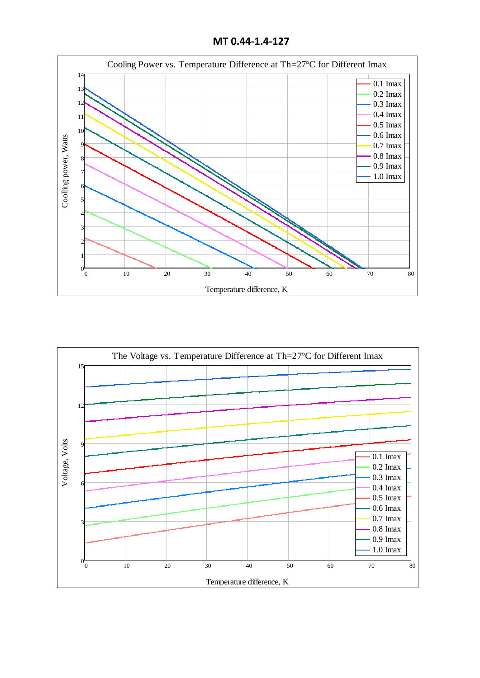**MT 0.44-1.4-127**





Temperature difference, K